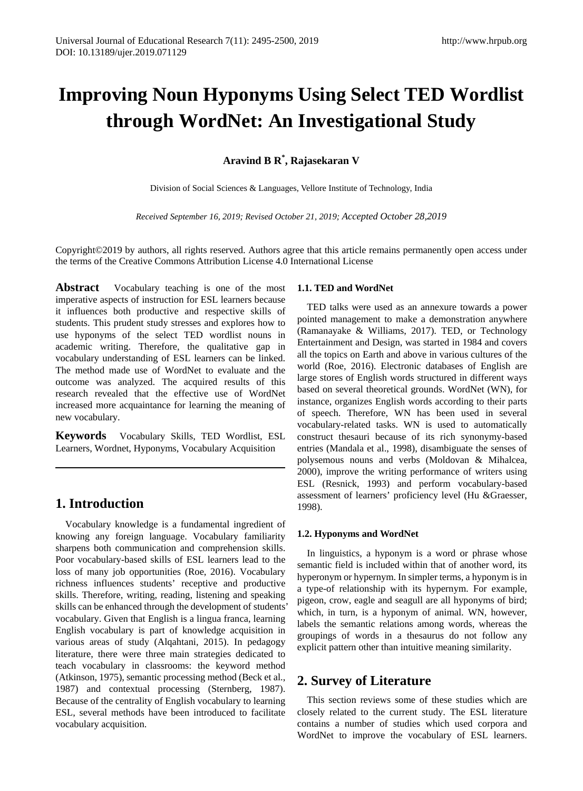# **Improving Noun Hyponyms Using Select TED Wordlist through WordNet: An Investigational Study**

# **Aravind B R\* , Rajasekaran V**

Division of Social Sciences & Languages, Vellore Institute of Technology, India

*Received September 16, 2019; Revised October 21, 2019; Accepted October 28,2019*

Copyright©2019 by authors, all rights reserved. Authors agree that this article remains permanently open access under the terms of the Creative Commons Attribution License 4.0 International License

**Abstract** Vocabulary teaching is one of the most imperative aspects of instruction for ESL learners because it influences both productive and respective skills of students. This prudent study stresses and explores how to use hyponyms of the select TED wordlist nouns in academic writing. Therefore, the qualitative gap in vocabulary understanding of ESL learners can be linked. The method made use of WordNet to evaluate and the outcome was analyzed. The acquired results of this research revealed that the effective use of WordNet increased more acquaintance for learning the meaning of new vocabulary.

**Keywords** Vocabulary Skills, TED Wordlist, ESL Learners, Wordnet, Hyponyms, Vocabulary Acquisition

# **1. Introduction**

Vocabulary knowledge is a fundamental ingredient of knowing any foreign language. Vocabulary familiarity sharpens both communication and comprehension skills. Poor vocabulary-based skills of ESL learners lead to the loss of many job opportunities (Roe, 2016). Vocabulary richness influences students' receptive and productive skills. Therefore, writing, reading, listening and speaking skills can be enhanced through the development of students' vocabulary. Given that English is a lingua franca, learning English vocabulary is part of knowledge acquisition in various areas of study (Alqahtani, 2015). In pedagogy literature, there were three main strategies dedicated to teach vocabulary in classrooms: the keyword method (Atkinson, 1975), semantic processing method (Beck et al., 1987) and contextual processing (Sternberg, 1987). Because of the centrality of English vocabulary to learning ESL, several methods have been introduced to facilitate vocabulary acquisition.

#### **1.1. TED and WordNet**

TED talks were used as an annexure towards a power pointed management to make a demonstration anywhere (Ramanayake & Williams, 2017). TED, or Technology Entertainment and Design, was started in 1984 and covers all the topics on Earth and above in various cultures of the world (Roe, 2016). Electronic databases of English are large stores of English words structured in different ways based on several theoretical grounds. WordNet (WN), for instance, organizes English words according to their parts of speech. Therefore, WN has been used in several vocabulary-related tasks. WN is used to automatically construct thesauri because of its rich synonymy-based entries (Mandala et al., 1998), disambiguate the senses of polysemous nouns and verbs (Moldovan & Mihalcea, 2000), improve the writing performance of writers using ESL (Resnick, 1993) and perform vocabulary-based assessment of learners' proficiency level (Hu &Graesser, 1998).

#### **1.2. Hyponyms and WordNet**

In linguistics, a hyponym is a word or phrase whose semantic field is included within that of another word, its hyperonym or hypernym. In simpler terms, a hyponym is in a type-of relationship with its hypernym. For example, pigeon, crow, eagle and seagull are all hyponyms of bird; which, in turn, is a hyponym of animal. WN, however, labels the semantic relations among words, whereas the groupings of words in a thesaurus do not follow any explicit pattern other than intuitive meaning similarity.

# **2. Survey of Literature**

This section reviews some of these studies which are closely related to the current study. The ESL literature contains a number of studies which used corpora and WordNet to improve the vocabulary of ESL learners.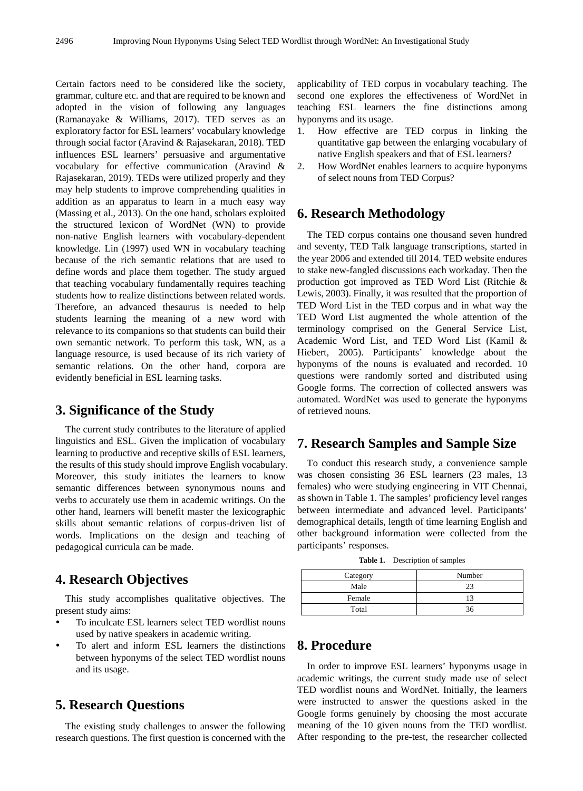Certain factors need to be considered like the society, grammar, culture etc. and that are required to be known and adopted in the vision of following any languages (Ramanayake & Williams, 2017). TED serves as an exploratory factor for ESL learners' vocabulary knowledge through social factor (Aravind & Rajasekaran, 2018). TED influences ESL learners' persuasive and argumentative vocabulary for effective communication (Aravind & Rajasekaran, 2019). TEDs were utilized properly and they may help students to improve comprehending qualities in addition as an apparatus to learn in a much easy way (Massing et al., 2013). On the one hand, scholars exploited the structured lexicon of WordNet (WN) to provide non-native English learners with vocabulary-dependent knowledge. Lin (1997) used WN in vocabulary teaching because of the rich semantic relations that are used to define words and place them together. The study argued that teaching vocabulary fundamentally requires teaching students how to realize distinctions between related words. Therefore, an advanced thesaurus is needed to help students learning the meaning of a new word with relevance to its companions so that students can build their own semantic network. To perform this task, WN, as a language resource, is used because of its rich variety of semantic relations. On the other hand, corpora are evidently beneficial in ESL learning tasks.

#### **3. Significance of the Study**

The current study contributes to the literature of applied linguistics and ESL. Given the implication of vocabulary learning to productive and receptive skills of ESL learners, the results of this study should improve English vocabulary. Moreover, this study initiates the learners to know semantic differences between synonymous nouns and verbs to accurately use them in academic writings. On the other hand, learners will benefit master the lexicographic skills about semantic relations of corpus-driven list of words. Implications on the design and teaching of pedagogical curricula can be made.

#### **4. Research Objectives**

This study accomplishes qualitative objectives. The present study aims:

- To inculcate ESL learners select TED wordlist nouns used by native speakers in academic writing.
- To alert and inform ESL learners the distinctions between hyponyms of the select TED wordlist nouns and its usage.

# **5. Research Questions**

The existing study challenges to answer the following research questions. The first question is concerned with the

applicability of TED corpus in vocabulary teaching. The second one explores the effectiveness of WordNet in teaching ESL learners the fine distinctions among hyponyms and its usage.

- 1. How effective are TED corpus in linking the quantitative gap between the enlarging vocabulary of native English speakers and that of ESL learners?
- 2. How WordNet enables learners to acquire hyponyms of select nouns from TED Corpus?

#### **6. Research Methodology**

The TED corpus contains one thousand seven hundred and seventy, TED Talk language transcriptions, started in the year 2006 and extended till 2014. TED website endures to stake new-fangled discussions each workaday. Then the production got improved as TED Word List (Ritchie & Lewis, 2003). Finally, it was resulted that the proportion of TED Word List in the TED corpus and in what way the TED Word List augmented the whole attention of the terminology comprised on the General Service List, Academic Word List, and TED Word List (Kamil & Hiebert, 2005). Participants' knowledge about the hyponyms of the nouns is evaluated and recorded. 10 questions were randomly sorted and distributed using Google forms. The correction of collected answers was automated. WordNet was used to generate the hyponyms of retrieved nouns.

#### **7. Research Samples and Sample Size**

To conduct this research study, a convenience sample was chosen consisting 36 ESL learners (23 males, 13 females) who were studying engineering in VIT Chennai, as shown in Table 1. The samples' proficiency level ranges between intermediate and advanced level. Participants' demographical details, length of time learning English and other background information were collected from the participants' responses.

| Table 1. | Description of samples |  |
|----------|------------------------|--|
|----------|------------------------|--|

| Number |
|--------|
| つっ     |
|        |
| 36     |
|        |

#### **8. Procedure**

In order to improve ESL learners' hyponyms usage in academic writings, the current study made use of select TED wordlist nouns and WordNet. Initially, the learners were instructed to answer the questions asked in the Google forms genuinely by choosing the most accurate meaning of the 10 given nouns from the TED wordlist. After responding to the pre-test, the researcher collected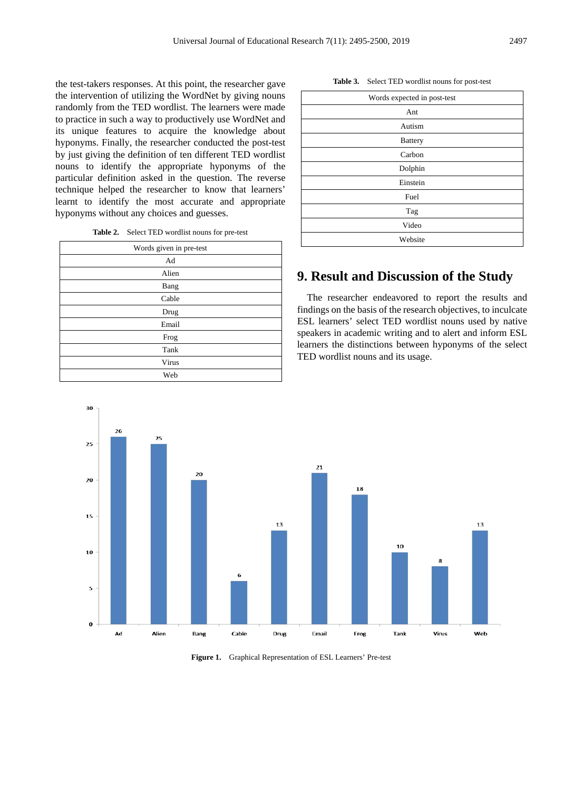the test-takers responses. At this point, the researcher gave the intervention of utilizing the WordNet by giving nouns randomly from the TED wordlist. The learners were made to practice in such a way to productively use WordNet and its unique features to acquire the knowledge about hyponyms. Finally, the researcher conducted the post-test by just giving the definition of ten different TED wordlist nouns to identify the appropriate hyponyms of the particular definition asked in the question. The reverse technique helped the researcher to know that learners' learnt to identify the most accurate and appropriate hyponyms without any choices and guesses.

**Table 2.** Select TED wordlist nouns for pre-test

| Words given in pre-test |
|-------------------------|
| Ad                      |
| Alien                   |
| Bang                    |
| Cable                   |
| Drug                    |
| Email                   |
| Frog                    |
| Tank                    |
| Virus                   |
| Web                     |

**Table 3.** Select TED wordlist nouns for post-test

| Words expected in post-test |
|-----------------------------|
| Ant                         |
| Autism                      |
| <b>Battery</b>              |
| Carbon                      |
| Dolphin                     |
| Einstein                    |
| Fuel                        |
| Tag                         |
| Video                       |
| Website                     |
|                             |

# **9. Result and Discussion of the Study**

The researcher endeavored to report the results and findings on the basis of the research objectives, to inculcate ESL learners' select TED wordlist nouns used by native speakers in academic writing and to alert and inform ESL learners the distinctions between hyponyms of the select TED wordlist nouns and its usage.



**Figure 1.** Graphical Representation of ESL Learners' Pre-test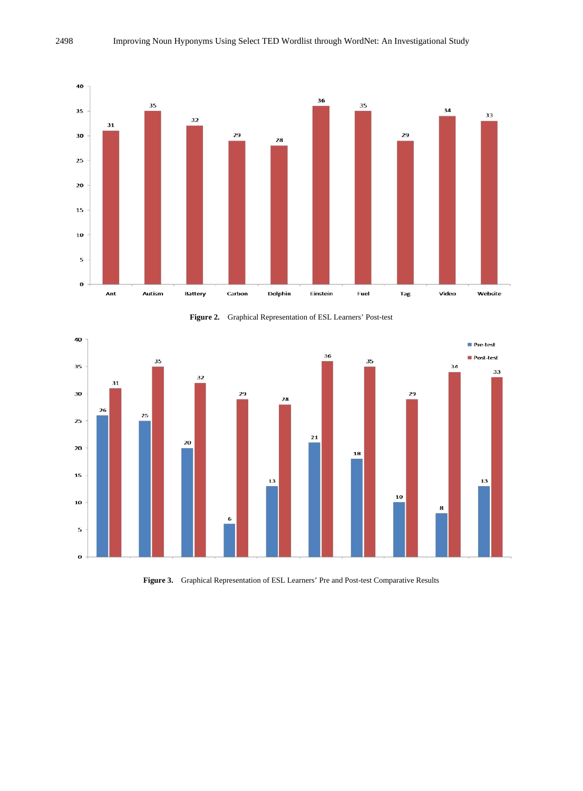

**Figure 2.** Graphical Representation of ESL Learners' Post-test



**Figure 3.** Graphical Representation of ESL Learners' Pre and Post-test Comparative Results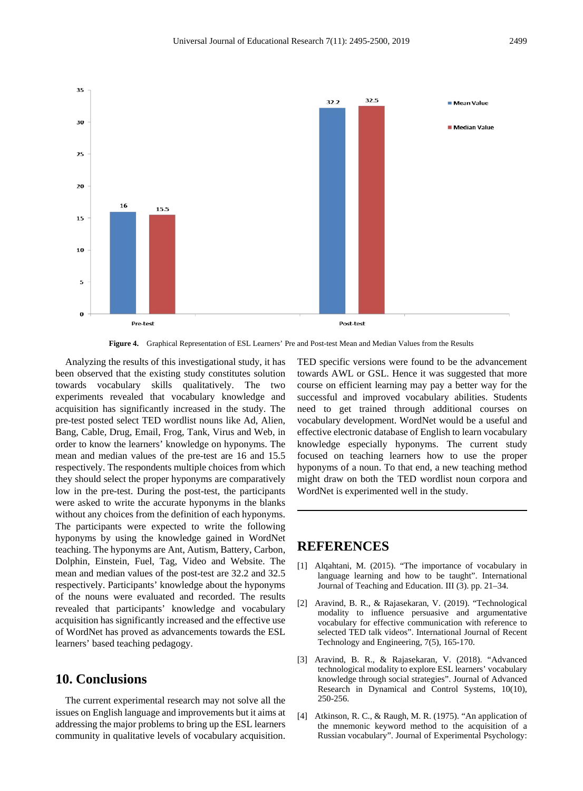![](_page_4_Figure_1.jpeg)

**Figure 4.** Graphical Representation of ESL Learners' Pre and Post-test Mean and Median Values from the Results

Analyzing the results of this investigational study, it has been observed that the existing study constitutes solution towards vocabulary skills qualitatively. The two experiments revealed that vocabulary knowledge and acquisition has significantly increased in the study. The pre-test posted select TED wordlist nouns like Ad, Alien, Bang, Cable, Drug, Email, Frog, Tank, Virus and Web, in order to know the learners' knowledge on hyponyms. The mean and median values of the pre-test are 16 and 15.5 respectively. The respondents multiple choices from which they should select the proper hyponyms are comparatively low in the pre-test. During the post-test, the participants were asked to write the accurate hyponyms in the blanks without any choices from the definition of each hyponyms. The participants were expected to write the following hyponyms by using the knowledge gained in WordNet teaching. The hyponyms are Ant, Autism, Battery, Carbon, Dolphin, Einstein, Fuel, Tag, Video and Website. The mean and median values of the post-test are 32.2 and 32.5 respectively. Participants' knowledge about the hyponyms of the nouns were evaluated and recorded. The results revealed that participants' knowledge and vocabulary acquisition has significantly increased and the effective use of WordNet has proved as advancements towards the ESL learners' based teaching pedagogy.

# **10. Conclusions**

The current experimental research may not solve all the issues on English language and improvements but it aims at addressing the major problems to bring up the ESL learners community in qualitative levels of vocabulary acquisition.

TED specific versions were found to be the advancement towards AWL or GSL. Hence it was suggested that more course on efficient learning may pay a better way for the successful and improved vocabulary abilities. Students need to get trained through additional courses on vocabulary development. WordNet would be a useful and effective electronic database of English to learn vocabulary knowledge especially hyponyms. The current study focused on teaching learners how to use the proper hyponyms of a noun. To that end, a new teaching method might draw on both the TED wordlist noun corpora and WordNet is experimented well in the study.

#### **REFERENCES**

- [1] Alqahtani, M. (2015). "The importance of vocabulary in language learning and how to be taught". International Journal of Teaching and Education. III (3). pp. 21–34.
- [2] Aravind, B. R., & Rajasekaran, V. (2019). "Technological modality to influence persuasive and argumentative vocabulary for effective communication with reference to selected TED talk videos". International Journal of Recent Technology and Engineering, 7(5), 165-170.
- [3] Aravind, B. R., & Rajasekaran, V. (2018). "Advanced technological modality to explore ESL learners' vocabulary knowledge through social strategies". Journal of Advanced Research in Dynamical and Control Systems, 10(10), 250-256.
- [4] Atkinson, R. C., & Raugh, M. R. (1975). "An application of the mnemonic keyword method to the acquisition of a Russian vocabulary". Journal of Experimental Psychology: